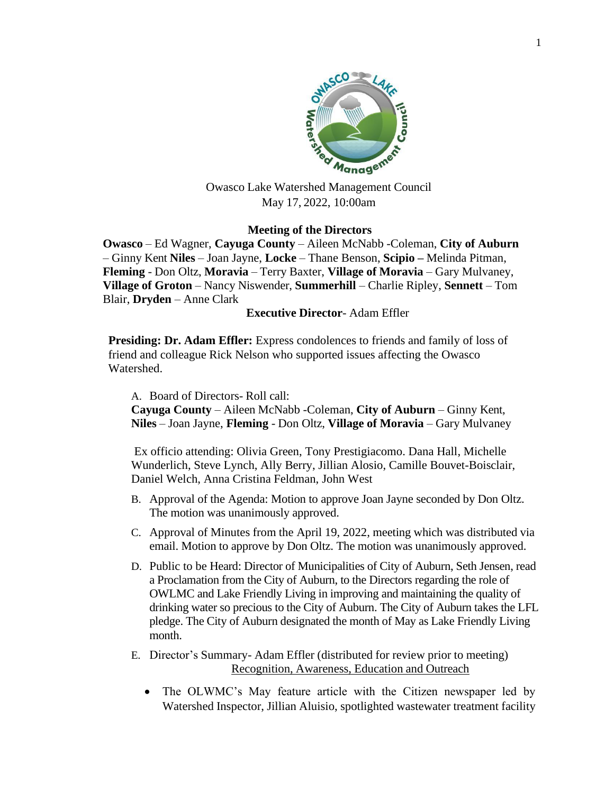

May 17, 2022, 10:00am

## **Meeting of the Directors**

**Owasco** – Ed Wagner, **Cayuga County** – Aileen McNabb -Coleman, **City of Auburn** – Ginny Kent **Niles** – Joan Jayne, **Locke** – Thane Benson, **Scipio –** Melinda Pitman, **Fleming** - Don Oltz, **Moravia** – Terry Baxter, **Village of Moravia** – Gary Mulvaney, **Village of Groton** – Nancy Niswender, **Summerhill** – Charlie Ripley, **Sennett** – Tom Blair, **Dryden** – Anne Clark

 **Executive Director**- Adam Effler

**Presiding: Dr. Adam Effler:** Express condolences to friends and family of loss of friend and colleague Rick Nelson who supported issues affecting the Owasco Watershed.

A. Board of Directors- Roll call: **Cayuga County** – Aileen McNabb -Coleman, **City of Auburn** – Ginny Kent, **Niles** – Joan Jayne, **Fleming** - Don Oltz, **Village of Moravia** – Gary Mulvaney

Ex officio attending: Olivia Green, Tony Prestigiacomo. Dana Hall, Michelle Wunderlich, Steve Lynch, Ally Berry, Jillian Alosio, Camille Bouvet-Boisclair, Daniel Welch, Anna Cristina Feldman, John West

- B. Approval of the Agenda: Motion to approve Joan Jayne seconded by Don Oltz. The motion was unanimously approved.
- C. Approval of Minutes from the April 19, 2022, meeting which was distributed via email. Motion to approve by Don Oltz. The motion was unanimously approved.
- D. Public to be Heard: Director of Municipalities of City of Auburn, Seth Jensen, read a Proclamation from the City of Auburn, to the Directors regarding the role of OWLMC and Lake Friendly Living in improving and maintaining the quality of drinking water so precious to the City of Auburn. The City of Auburn takes the LFL pledge. The City of Auburn designated the month of May as Lake Friendly Living month.
- E. Director's Summary- Adam Effler (distributed for review prior to meeting) Recognition, Awareness, Education and Outreach
	- The OLWMC's May feature article with the Citizen newspaper led by Watershed Inspector, Jillian Aluisio, spotlighted wastewater treatment facility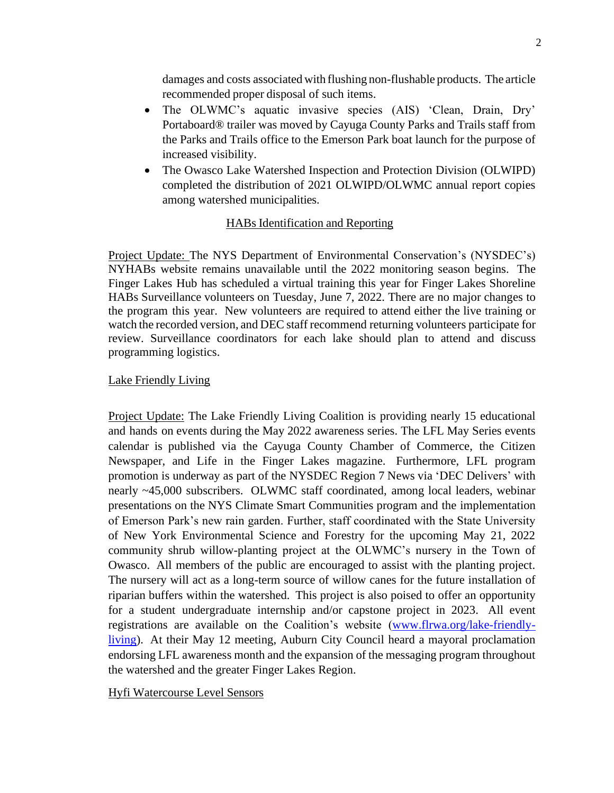damages and costs associated with flushing non-flushable products. The article recommended proper disposal of such items.

- The OLWMC's aquatic invasive species (AIS) 'Clean, Drain, Dry' Portaboard® trailer was moved by Cayuga County Parks and Trails staff from the Parks and Trails office to the Emerson Park boat launch for the purpose of increased visibility.
- The Owasco Lake Watershed Inspection and Protection Division (OLWIPD) completed the distribution of 2021 OLWIPD/OLWMC annual report copies among watershed municipalities.

### HABs Identification and Reporting

Project Update: The NYS Department of Environmental Conservation's (NYSDEC's) NYHABs website remains unavailable until the 2022 monitoring season begins. The Finger Lakes Hub has scheduled a virtual training this year for Finger Lakes Shoreline HABs Surveillance volunteers on Tuesday, June 7, 2022. There are no major changes to the program this year. New volunteers are required to attend either the live training or watch the recorded version, and DEC staff recommend returning volunteers participate for review. Surveillance coordinators for each lake should plan to attend and discuss programming logistics.

### Lake Friendly Living

Project Update: The Lake Friendly Living Coalition is providing nearly 15 educational and hands on events during the May 2022 awareness series. The LFL May Series events calendar is published via the Cayuga County Chamber of Commerce, the Citizen Newspaper, and Life in the Finger Lakes magazine. Furthermore, LFL program promotion is underway as part of the NYSDEC Region 7 News via 'DEC Delivers' with nearly ~45,000 subscribers. OLWMC staff coordinated, among local leaders, webinar presentations on the NYS Climate Smart Communities program and the implementation of Emerson Park's new rain garden. Further, staff coordinated with the State University of New York Environmental Science and Forestry for the upcoming May 21, 2022 community shrub willow-planting project at the OLWMC's nursery in the Town of Owasco. All members of the public are encouraged to assist with the planting project. The nursery will act as a long-term source of willow canes for the future installation of riparian buffers within the watershed. This project is also poised to offer an opportunity for a student undergraduate internship and/or capstone project in 2023. All event registrations are available on the Coalition's website [\(www.flrwa.org/lake-friendly](http://www.flrwa.org/lake-friendly-living)[living\)](http://www.flrwa.org/lake-friendly-living). At their May 12 meeting, Auburn City Council heard a mayoral proclamation endorsing LFL awareness month and the expansion of the messaging program throughout the watershed and the greater Finger Lakes Region.

### Hyfi Watercourse Level Sensors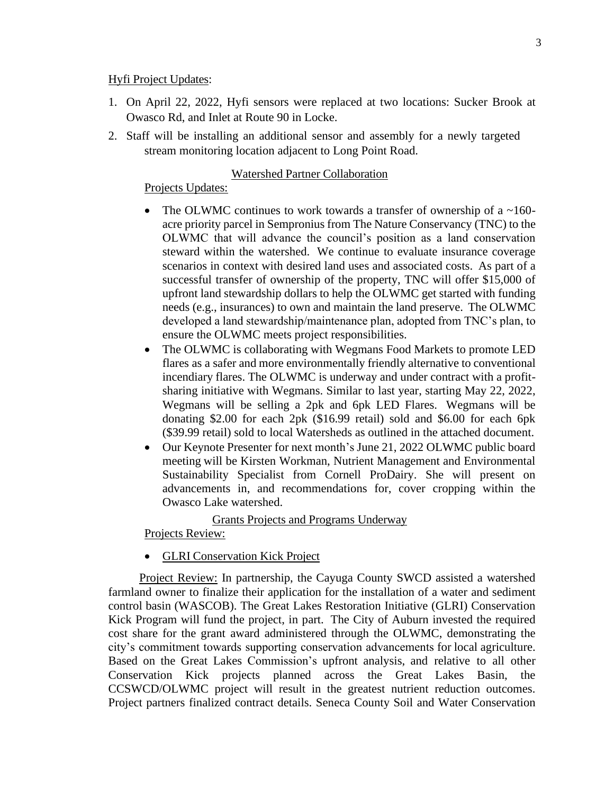#### Hyfi Project Updates:

- 1. On April 22, 2022, Hyfi sensors were replaced at two locations: Sucker Brook at Owasco Rd, and Inlet at Route 90 in Locke.
- 2. Staff will be installing an additional sensor and assembly for a newly targeted stream monitoring location adjacent to Long Point Road.

#### Watershed Partner Collaboration

## Projects Updates:

- The OLWMC continues to work towards a transfer of ownership of a  $\sim$ 160acre priority parcel in Sempronius from The Nature Conservancy (TNC) to the OLWMC that will advance the council's position as a land conservation steward within the watershed. We continue to evaluate insurance coverage scenarios in context with desired land uses and associated costs. As part of a successful transfer of ownership of the property, TNC will offer \$15,000 of upfront land stewardship dollars to help the OLWMC get started with funding needs (e.g., insurances) to own and maintain the land preserve. The OLWMC developed a land stewardship/maintenance plan, adopted from TNC's plan, to ensure the OLWMC meets project responsibilities.
- The OLWMC is collaborating with Wegmans Food Markets to promote LED flares as a safer and more environmentally friendly alternative to conventional incendiary flares. The OLWMC is underway and under contract with a profitsharing initiative with Wegmans. Similar to last year, starting May 22, 2022, Wegmans will be selling a 2pk and 6pk LED Flares. Wegmans will be donating \$2.00 for each 2pk (\$16.99 retail) sold and \$6.00 for each 6pk (\$39.99 retail) sold to local Watersheds as outlined in the attached document.
- Our Keynote Presenter for next month's June 21, 2022 OLWMC public board meeting will be Kirsten Workman, Nutrient Management and Environmental Sustainability Specialist from Cornell ProDairy. She will present on advancements in, and recommendations for, cover cropping within the Owasco Lake watershed.

Grants Projects and Programs Underway

Projects Review:

• GLRI Conservation Kick Project

Project Review: In partnership, the Cayuga County SWCD assisted a watershed farmland owner to finalize their application for the installation of a water and sediment control basin (WASCOB). The Great Lakes Restoration Initiative (GLRI) Conservation Kick Program will fund the project, in part. The City of Auburn invested the required cost share for the grant award administered through the OLWMC, demonstrating the city's commitment towards supporting conservation advancements for local agriculture. Based on the Great Lakes Commission's upfront analysis, and relative to all other Conservation Kick projects planned across the Great Lakes Basin, the CCSWCD/OLWMC project will result in the greatest nutrient reduction outcomes*.* Project partners finalized contract details. Seneca County Soil and Water Conservation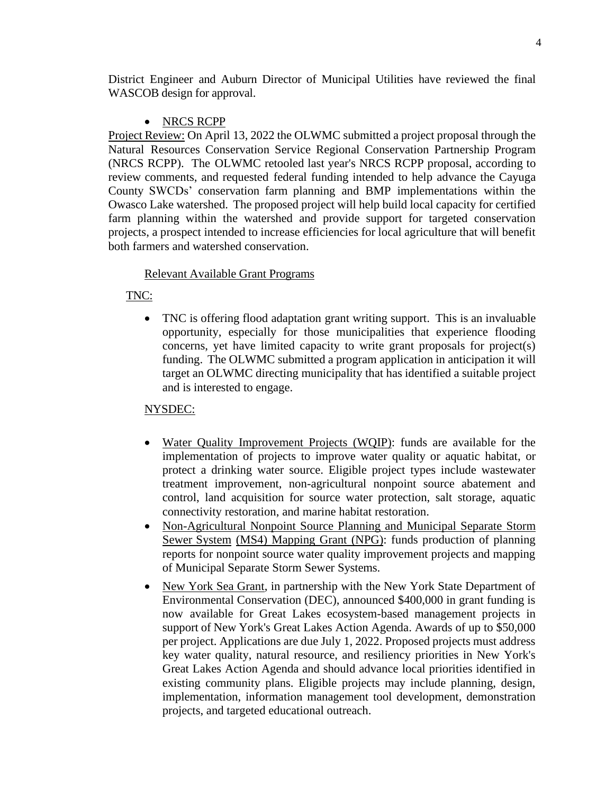District Engineer and Auburn Director of Municipal Utilities have reviewed the final WASCOB design for approval.

# • NRCS RCPP

Project Review: On April 13, 2022 the OLWMC submitted a project proposal through the Natural Resources Conservation Service Regional Conservation Partnership Program (NRCS RCPP). The OLWMC retooled last year's NRCS RCPP proposal, according to review comments, and requested federal funding intended to help advance the Cayuga County SWCDs' conservation farm planning and BMP implementations within the Owasco Lake watershed. The proposed project will help build local capacity for certified farm planning within the watershed and provide support for targeted conservation projects, a prospect intended to increase efficiencies for local agriculture that will benefit both farmers and watershed conservation.

## Relevant Available Grant Programs

# TNC:

• TNC is offering flood adaptation grant writing support. This is an invaluable opportunity, especially for those municipalities that experience flooding concerns, yet have limited capacity to write grant proposals for project(s) funding. The OLWMC submitted a program application in anticipation it will target an OLWMC directing municipality that has identified a suitable project and is interested to engage.

# NYSDEC:

- Water Quality [Improvement Projects \(](https://gcc02.safelinks.protection.outlook.com/?url=https%3A%2F%2Flnks.gd%2Fl%2FeyJhbGciOiJIUzI1NiJ9.eyJidWxsZXRpbl9saW5rX2lkIjoxMDMsInVyaSI6ImJwMjpjbGljayIsImJ1bGxldGluX2lkIjoiMjAyMjA1MTAuNTc2Njc4ODEiLCJ1cmwiOiJodHRwczovL3d3dy5kZWMubnkuZ292L3B1YnMvNDc3NC5odG1sIn0.gd1OB3MtEqd64ATFtjvVmcucCmoJs0Pt2aYfsWWjRJk%2Fs%2F173601332%2Fbr%2F131058055804-l&data=05%7C01%7Cshannon.dougherty%40dec.ny.gov%7Cec3579af0bdb4b5953be08da329841c1%7Cf46cb8ea79004d108ceb80e8c1c81ee7%7C0%7C0%7C637877926764339076%7CUnknown%7CTWFpbGZsb3d8eyJWIjoiMC4wLjAwMDAiLCJQIjoiV2luMzIiLCJBTiI6Ik1haWwiLCJXVCI6Mn0%3D%7C3000%7C%7C%7C&sdata=k%2BE1OM9vIhF6flVprtk4NXz2sr1%2FhMBk49MHKLP%2FF3Q%3D&reserved=0)WQIP): funds are available for the implementation of projects to improve water quality or aquatic habitat, or protect a drinking water source. Eligible project types include wastewater treatment improvement, non-agricultural nonpoint source abatement and control, land acquisition for source water protection, salt storage, aquatic connectivity restoration, and marine habitat restoration.
- [Non-Agricultural](https://gcc02.safelinks.protection.outlook.com/?url=https%3A%2F%2Flnks.gd%2Fl%2FeyJhbGciOiJIUzI1NiJ9.eyJidWxsZXRpbl9saW5rX2lkIjoxMDQsInVyaSI6ImJwMjpjbGljayIsImJ1bGxldGluX2lkIjoiMjAyMjA1MTAuNTc2Njc4ODEiLCJ1cmwiOiJodHRwczovL3d3dy5kZWMubnkuZ292L3B1YnMvMTE2NzI1Lmh0bWwifQ.l5uT6azX592qZRczVFs2KQTl6mHwAYL4vsfV_Mg2X1U%2Fs%2F173601332%2Fbr%2F131058055804-l&data=05%7C01%7Cshannon.dougherty%40dec.ny.gov%7Cec3579af0bdb4b5953be08da329841c1%7Cf46cb8ea79004d108ceb80e8c1c81ee7%7C0%7C0%7C637877926764339076%7CUnknown%7CTWFpbGZsb3d8eyJWIjoiMC4wLjAwMDAiLCJQIjoiV2luMzIiLCJBTiI6Ik1haWwiLCJXVCI6Mn0%3D%7C3000%7C%7C%7C&sdata=F30wAj3Dgr0p8XFfXZGmRorJd%2FNjI7QedkVgZfeMgOA%3D&reserved=0) Nonpoint Source Planning and Municipal Separate Storm Sewer System (MS4) Mapping Grant (NPG): funds production of planning reports for nonpoint source water quality improvement projects and mapping of Municipal Separate Storm Sewer Systems.
- New York Sea Grant, in partnership with the New York State Department of Environmental Conservation (DEC), announced \$400,000 in grant funding is now available for Great Lakes ecosystem-based management projects in support of New [York's](https://lnks.gd/l/eyJhbGciOiJIUzI1NiJ9.eyJidWxsZXRpbl9saW5rX2lkIjoxMDIsInVyaSI6ImJwMjpjbGljayIsImJ1bGxldGluX2lkIjoiMjAyMjA1MTEuNTc3MjU1MjEiLCJ1cmwiOiJodHRwczovL3d3dy5kZWMubnkuZ292L2xhbmRzLzkxODgxLmh0bWwifQ.taX18Mr5B-PA_ai1vWlxxIos6-6_PJEUfz4tkx0V7e8/s/980359839/br/131125373068-l) [Great Lakes Action Agenda.](https://lnks.gd/l/eyJhbGciOiJIUzI1NiJ9.eyJidWxsZXRpbl9saW5rX2lkIjoxMDIsInVyaSI6ImJwMjpjbGljayIsImJ1bGxldGluX2lkIjoiMjAyMjA1MTEuNTc3MjU1MjEiLCJ1cmwiOiJodHRwczovL3d3dy5kZWMubnkuZ292L2xhbmRzLzkxODgxLmh0bWwifQ.taX18Mr5B-PA_ai1vWlxxIos6-6_PJEUfz4tkx0V7e8/s/980359839/br/131125373068-l) Awards of up to \$50,000 per project. Applications are due July 1, 2022. Proposed projects must address key water quality, natural resource, and resiliency priorities in New York's Great Lakes Action Agenda and should advance local priorities identified in existing community plans. Eligible projects may include planning, design, implementation, information management tool development, demonstration projects, and targeted educational outreach.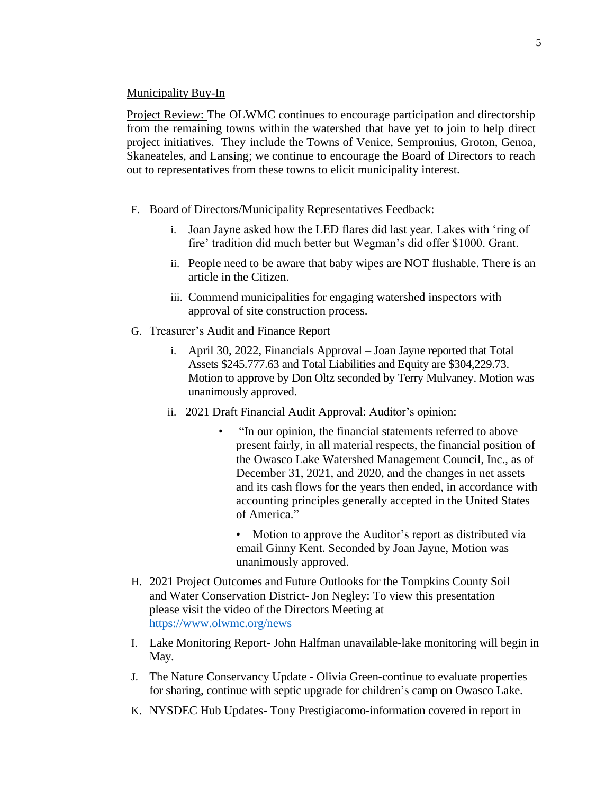### Municipality Buy-In

Project Review: The OLWMC continues to encourage participation and directorship from the remaining towns within the watershed that have yet to join to help direct project initiatives. They include the Towns of Venice, Sempronius, Groton, Genoa, Skaneateles, and Lansing; we continue to encourage the Board of Directors to reach out to representatives from these towns to elicit municipality interest.

- F. Board of Directors/Municipality Representatives Feedback:
	- i. Joan Jayne asked how the LED flares did last year. Lakes with 'ring of fire' tradition did much better but Wegman's did offer \$1000. Grant.
	- ii. People need to be aware that baby wipes are NOT flushable. There is an article in the Citizen.
	- iii. Commend municipalities for engaging watershed inspectors with approval of site construction process.
- G. Treasurer's Audit and Finance Report
	- i. April 30, 2022, Financials Approval Joan Jayne reported that Total Assets \$245.777.63 and Total Liabilities and Equity are \$304,229.73. Motion to approve by Don Oltz seconded by Terry Mulvaney. Motion was unanimously approved.
	- ii. 2021 Draft Financial Audit Approval: Auditor's opinion:
		- "In our opinion, the financial statements referred to above present fairly, in all material respects, the financial position of the Owasco Lake Watershed Management Council, Inc., as of December 31, 2021, and 2020, and the changes in net assets and its cash flows for the years then ended, in accordance with accounting principles generally accepted in the United States of America."
			- Motion to approve the Auditor's report as distributed via email Ginny Kent. Seconded by Joan Jayne, Motion was unanimously approved.
- H. 2021 Project Outcomes and Future Outlooks for the Tompkins County Soil and Water Conservation District- Jon Negley: To view this presentation please visit the video of the Directors Meeting at <https://www.olwmc.org/news>
- I. Lake Monitoring Report- John Halfman unavailable-lake monitoring will begin in May.
- J. The Nature Conservancy Update Olivia Green-continue to evaluate properties for sharing, continue with septic upgrade for children's camp on Owasco Lake.
- K. NYSDEC Hub Updates- Tony Prestigiacomo-information covered in report in